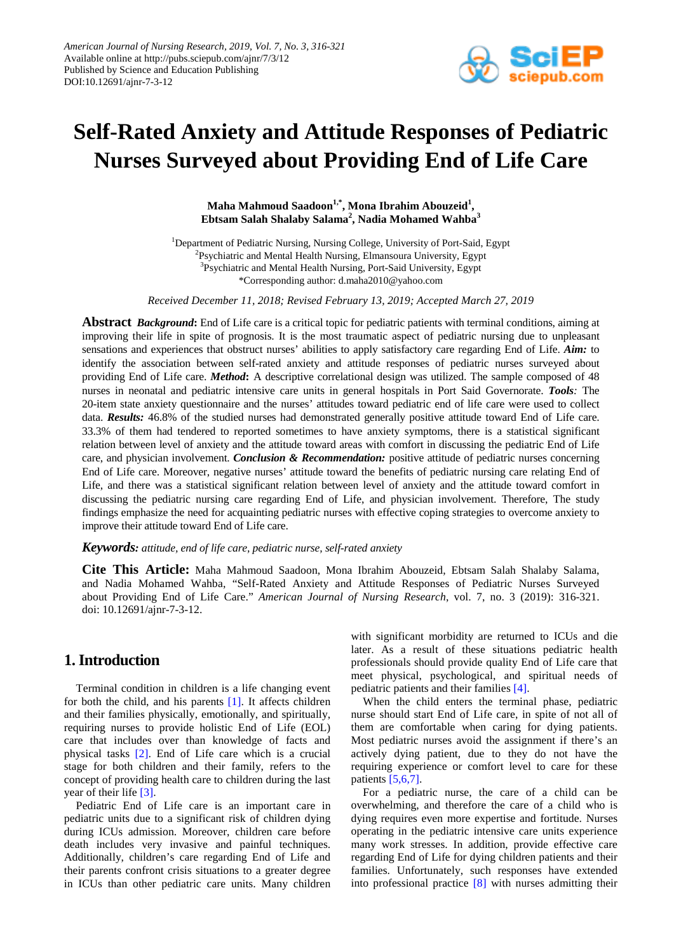

# **Self-Rated Anxiety and Attitude Responses of Pediatric Nurses Surveyed about Providing End of Life Care**

**Maha Mahmoud Saadoon1,\*, Mona Ibrahim Abouzeid1 , Ebtsam Salah Shalaby Salama<sup>2</sup> , Nadia Mohamed Wahba<sup>3</sup>**

<sup>1</sup>Department of Pediatric Nursing, Nursing College, University of Port-Said, Egypt <sup>2</sup>Psychiatric and Mental Health Nursing, Elmansoura University, Egypt <sup>3</sup>Psychiatric and Mental Health Nursing, Port-Said University, Egypt \*Corresponding author: d.maha2010@yahoo.com

*Received December 11, 2018; Revised February 13, 2019; Accepted March 27, 2019*

**Abstract** *Background***:** End of Life care is a critical topic for pediatric patients with terminal conditions, aiming at improving their life in spite of prognosis. It is the most traumatic aspect of pediatric nursing due to unpleasant sensations and experiences that obstruct nurses' abilities to apply satisfactory care regarding End of Life. *Aim:* to identify the association between self-rated anxiety and attitude responses of pediatric nurses surveyed about providing End of Life care. *Method***:** A descriptive correlational design was utilized. The sample composed of 48 nurses in neonatal and pediatric intensive care units in general hospitals in Port Said Governorate. *Tools:* The 20-item state anxiety questionnaire and the nurses' attitudes toward pediatric end of life care were used to collect data. *Results:* 46.8% of the studied nurses had demonstrated generally positive attitude toward End of Life care. 33.3% of them had tendered to reported sometimes to have anxiety symptoms, there is a statistical significant relation between level of anxiety and the attitude toward areas with comfort in discussing the pediatric End of Life care, and physician involvement. *Conclusion & Recommendation:* positive attitude of pediatric nurses concerning End of Life care. Moreover, negative nurses' attitude toward the benefits of pediatric nursing care relating End of Life, and there was a statistical significant relation between level of anxiety and the attitude toward comfort in discussing the pediatric nursing care regarding End of Life, and physician involvement. Therefore, The study findings emphasize the need for acquainting pediatric nurses with effective coping strategies to overcome anxiety to improve their attitude toward End of Life care.

#### *Keywords: attitude, end of life care, pediatric nurse, self-rated anxiety*

**Cite This Article:** Maha Mahmoud Saadoon, Mona Ibrahim Abouzeid, Ebtsam Salah Shalaby Salama, and Nadia Mohamed Wahba, "Self-Rated Anxiety and Attitude Responses of Pediatric Nurses Surveyed about Providing End of Life Care." *American Journal of Nursing Research*, vol. 7, no. 3 (2019): 316-321. doi: 10.12691/ajnr-7-3-12.

## **1. Introduction**

Terminal condition in children is a life changing event for both the child, and his parents [\[1\].](#page-4-0) It affects children and their families physically, emotionally, and spiritually, requiring nurses to provide holistic End of Life (EOL) care that includes over than knowledge of facts and physical tasks [\[2\].](#page-4-1) End of Life care which is a crucial stage for both children and their family, refers to the concept of providing health care to children during the last year of their life [\[3\].](#page-4-2)

Pediatric End of Life care is an important care in pediatric units due to a significant risk of children dying during ICUs admission. Moreover, children care before death includes very invasive and painful techniques. Additionally, children's care regarding End of Life and their parents confront crisis situations to a greater degree in ICUs than other pediatric care units. Many children with significant morbidity are returned to ICUs and die later. As a result of these situations pediatric health professionals should provide quality End of Life care that meet physical, psychological, and spiritual needs of pediatric patients and their families [\[4\].](#page-4-3)

When the child enters the terminal phase, pediatric nurse should start End of Life care, in spite of not all of them are comfortable when caring for dying patients. Most pediatric nurses avoid the assignment if there's an actively dying patient, due to they do not have the requiring experience or comfort level to care for these patients [\[5,6,7\].](#page-4-4)

For a pediatric nurse, the care of a child can be overwhelming, and therefore the care of a child who is dying requires even more expertise and fortitude. Nurses operating in the pediatric intensive care units experience many work stresses. In addition, provide effective care regarding End of Life for dying children patients and their families. Unfortunately, such responses have extended into professional practice [\[8\]](#page-4-5) with nurses admitting their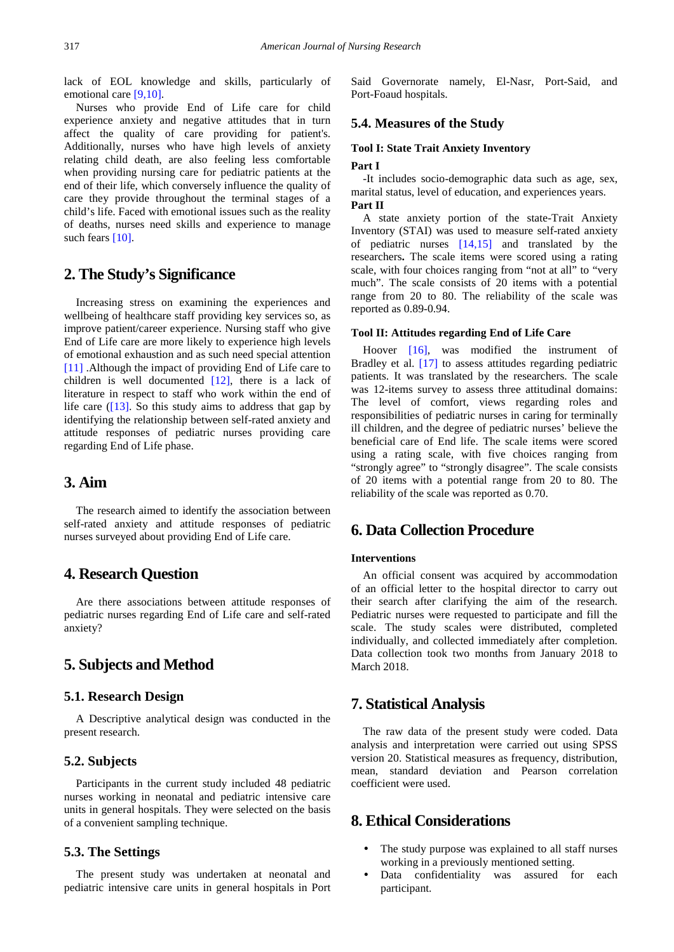lack of EOL knowledge and skills, particularly of emotional care [\[9,10\].](#page-4-6)

Nurses who provide End of Life care for child experience anxiety and negative attitudes that in turn affect the quality of care providing for patient's. Additionally, nurses who have high levels of anxiety relating child death, are also feeling less comfortable when providing nursing care for pediatric patients at the end of their life, which conversely influence the quality of care they provide throughout the terminal stages of a child's life. Faced with emotional issues such as the reality of deaths, nurses need skills and experience to manage such fears [\[10\].](#page-4-7)

## **2. The Study's Significance**

Increasing stress on examining the experiences and wellbeing of healthcare staff providing key services so, as improve patient/career experience. Nursing staff who give End of Life care are more likely to experience high levels of emotional exhaustion and as such need special attention [\[11\]](#page-4-8) .Although the impact of providing End of Life care to children is well documented  $[12]$ , there is a lack of literature in respect to staff who work within the end of life care  $(13]$ . So this study aims to address that gap by identifying the relationship between self-rated anxiety and attitude responses of pediatric nurses providing care regarding End of Life phase.

## **3. Aim**

The research aimed to identify the association between self-rated anxiety and attitude responses of pediatric nurses surveyed about providing End of Life care.

## **4. Research Question**

Are there associations between attitude responses of pediatric nurses regarding End of Life care and self-rated anxiety?

## **5. Subjects and Method**

#### **5.1. Research Design**

A Descriptive analytical design was conducted in the present research.

#### **5.2. Subjects**

Participants in the current study included 48 pediatric nurses working in neonatal and pediatric intensive care units in general hospitals. They were selected on the basis of a convenient sampling technique.

#### **5.3. The Settings**

The present study was undertaken at neonatal and pediatric intensive care units in general hospitals in Port Said Governorate namely, El-Nasr, Port-Said, and Port-Foaud hospitals.

#### **5.4. Measures of the Study**

#### **Tool I: State Trait Anxiety Inventory**

#### **Part I**

-It includes socio-demographic data such as age, sex, marital status, level of education, and experiences years. **Part II**

A state anxiety portion of the state-Trait Anxiety Inventory (STAI) was used to measure self-rated anxiety of pediatric nurses [\[14,15\]](#page-4-11) and translated by the researchers**.** The scale items were scored using a rating scale, with four choices ranging from "not at all" to "very much". The scale consists of 20 items with a potential range from 20 to 80. The reliability of the scale was reported as 0.89-0.94.

#### **Tool II: Attitudes regarding End of Life Care**

Hoover [\[16\],](#page-4-12) was modified the instrument of Bradley et al. [\[17\]](#page-4-13) to assess attitudes regarding pediatric patients. It was translated by the researchers. The scale was 12-items survey to assess three attitudinal domains: The level of comfort, views regarding roles and responsibilities of pediatric nurses in caring for terminally ill children, and the degree of pediatric nurses' believe the beneficial care of End life. The scale items were scored using a rating scale, with five choices ranging from "strongly agree" to "strongly disagree". The scale consists of 20 items with a potential range from 20 to 80. The reliability of the scale was reported as 0.70.

## **6. Data Collection Procedure**

#### **Interventions**

An official consent was acquired by accommodation of an official letter to the hospital director to carry out their search after clarifying the aim of the research. Pediatric nurses were requested to participate and fill the scale. The study scales were distributed, completed individually, and collected immediately after completion. Data collection took two months from January 2018 to March 2018.

### **7. Statistical Analysis**

The raw data of the present study were coded. Data analysis and interpretation were carried out using SPSS version 20. Statistical measures as frequency, distribution, mean, standard deviation and Pearson correlation coefficient were used.

# **8. Ethical Considerations**

- The study purpose was explained to all staff nurses working in a previously mentioned setting.
- Data confidentiality was assured for each participant.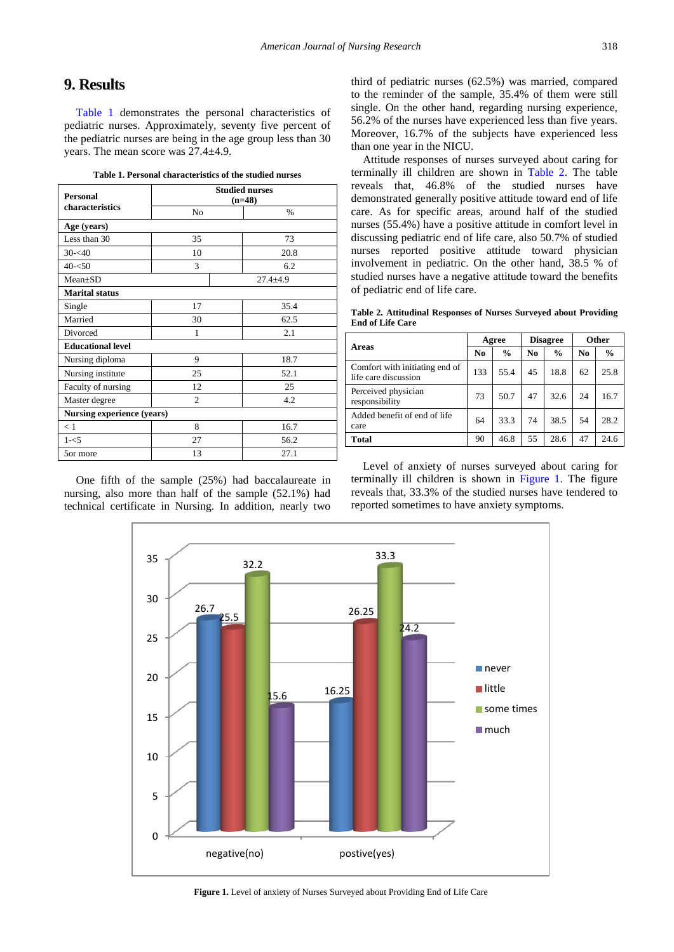## **9. Results**

[Table 1](#page-2-0) demonstrates the personal characteristics of pediatric nurses. Approximately, seventy five percent of the pediatric nurses are being in the age group less than 30 years. The mean score was 27.4±4.9.

|  |  | Table 1. Personal characteristics of the studied nurses |
|--|--|---------------------------------------------------------|
|--|--|---------------------------------------------------------|

<span id="page-2-0"></span>

| <b>Personal</b><br>characteristics | <b>Studied nurses</b><br>$(n=48)$ |               |  |
|------------------------------------|-----------------------------------|---------------|--|
|                                    | No                                | $\frac{0}{0}$ |  |
| Age (years)                        |                                   |               |  |
| Less than 30                       | 35                                | 73            |  |
| $30 - 40$                          | 10                                | 20.8          |  |
| $40 - 50$                          | 3                                 | 6.2           |  |
| $Mean \pm SD$                      |                                   | $27.4 + 4.9$  |  |
| <b>Marital status</b>              |                                   |               |  |
| Single                             | 17                                | 35.4          |  |
| Married                            | 30                                | 62.5          |  |
| Divorced                           | 1                                 | 2.1           |  |
| <b>Educational level</b>           |                                   |               |  |
| Nursing diploma                    | 9                                 | 18.7          |  |
| Nursing institute                  | 25                                | 52.1          |  |
| Faculty of nursing                 | 12                                | 25            |  |
| Master degree                      | $\mathcal{D}_{\mathcal{L}}$       | 4.2           |  |
| Nursing experience (years)         |                                   |               |  |
| < 1                                | 8                                 | 16.7          |  |
| $1 - 5$                            | 27                                | 56.2          |  |
| 5or more                           | 13                                | 27.1          |  |

<span id="page-2-2"></span>One fifth of the sample (25%) had baccalaureate in nursing, also more than half of the sample (52.1%) had technical certificate in Nursing. In addition, nearly two

third of pediatric nurses (62.5%) was married, compared to the reminder of the sample, 35.4% of them were still single. On the other hand, regarding nursing experience, 56.2% of the nurses have experienced less than five years. Moreover, 16.7% of the subjects have experienced less than one year in the NICU.

Attitude responses of nurses surveyed about caring for terminally ill children are shown in [Table 2.](#page-2-1) The table reveals that, 46.8% of the studied nurses have demonstrated generally positive attitude toward end of life care. As for specific areas, around half of the studied nurses (55.4%) have a positive attitude in comfort level in discussing pediatric end of life care, also 50.7% of studied nurses reported positive attitude toward physician involvement in pediatric. On the other hand, 38.5 % of studied nurses have a negative attitude toward the benefits of pediatric end of life care.

**Table 2. Attitudinal Responses of Nurses Surveyed about Providing End of Life Care**

<span id="page-2-1"></span>

| Areas                                                  | Agree |               | <b>Disagree</b> |               | <b>Other</b> |               |
|--------------------------------------------------------|-------|---------------|-----------------|---------------|--------------|---------------|
|                                                        | No    | $\frac{6}{9}$ | No              | $\frac{6}{9}$ | No           | $\frac{6}{9}$ |
| Comfort with initiating end of<br>life care discussion | 133   | 55.4          | 45              | 18.8          | 62           | 25.8          |
| Perceived physician<br>responsibility                  | 73    | 50.7          | 47              | 32.6          | 24           | 16.7          |
| Added benefit of end of life<br>care                   | 64    | 33.3          | 74              | 38.5          | 54           | 28.2          |
| Total                                                  | 90    | 46.8          | 55              | 28.6          | 47           | 24.6          |

Level of anxiety of nurses surveyed about caring for terminally ill children is shown in [Figure 1.](#page-2-2) The figure reveals that, 33.3% of the studied nurses have tendered to reported sometimes to have anxiety symptoms.



**Figure 1.** Level of anxiety of Nurses Surveyed about Providing End of Life Care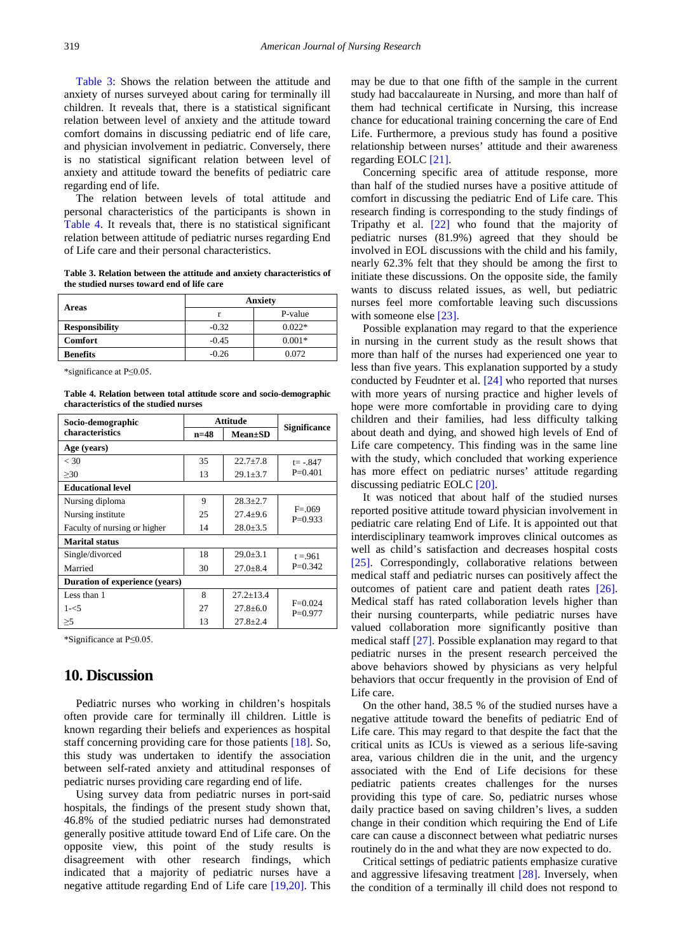[Table 3:](#page-3-0) Shows the relation between the attitude and anxiety of nurses surveyed about caring for terminally ill children. It reveals that, there is a statistical significant relation between level of anxiety and the attitude toward comfort domains in discussing pediatric end of life care, and physician involvement in pediatric. Conversely, there is no statistical significant relation between level of anxiety and attitude toward the benefits of pediatric care regarding end of life.

The relation between levels of total attitude and personal characteristics of the participants is shown in [Table 4.](#page-3-1) It reveals that, there is no statistical significant relation between attitude of pediatric nurses regarding End of Life care and their personal characteristics.

**Table 3. Relation between the attitude and anxiety characteristics of the studied nurses toward end of life care**

<span id="page-3-0"></span>

| Areas                 | <b>Anxiety</b> |          |  |  |
|-----------------------|----------------|----------|--|--|
|                       |                | P-value  |  |  |
| <b>Responsibility</b> | $-0.32$        | $0.022*$ |  |  |
| <b>Comfort</b>        | $-0.45$        | $0.001*$ |  |  |
| <b>Benefits</b>       | $-0.26$        | 0.072    |  |  |

\*significance at P≤0.05.

**Table 4. Relation between total attitude score and socio-demographic characteristics of the studied nurses**

<span id="page-3-1"></span>

| Socio-demographic              | Attitude |                | <b>Significance</b>    |  |
|--------------------------------|----------|----------------|------------------------|--|
| characteristics                | $n=48$   | $Mean \pm SD$  |                        |  |
| Age (years)                    |          |                |                        |  |
| < 30                           | 35       | $22.7 + 7.8$   | $t = -.847$            |  |
| $\geq 30$                      | 13       | $29.1 \pm 3.7$ | $P=0.401$              |  |
| <b>Educational level</b>       |          |                |                        |  |
| Nursing diploma                | 9        | $28.3 + 2.7$   | $F = 069$<br>$P=0.933$ |  |
| Nursing institute              | 25       | $27.4 + 9.6$   |                        |  |
| Faculty of nursing or higher   | 14       | $28.0 \pm 3.5$ |                        |  |
| <b>Marital status</b>          |          |                |                        |  |
| Single/divorced                | 18       | $29.0 + 3.1$   | $t = 961$              |  |
| Married                        | 30       | $27.0 \pm 8.4$ | $P=0.342$              |  |
| Duration of experience (years) |          |                |                        |  |
| Less than 1                    | 8        | $27.2 + 13.4$  |                        |  |
| $1 - 5$                        | 27       | $27.8 + 6.0$   | $F=0.024$<br>$P=0.977$ |  |
| $\geq$ 5                       | 13       | $27.8 + 2.4$   |                        |  |

\*Significance at P≤0.05.

## **10. Discussion**

Pediatric nurses who working in children's hospitals often provide care for terminally ill children. Little is known regarding their beliefs and experiences as hospital staff concerning providing care for those patients [\[18\].](#page-4-14) So, this study was undertaken to identify the association between self-rated anxiety and attitudinal responses of pediatric nurses providing care regarding end of life.

Using survey data from pediatric nurses in port-said hospitals, the findings of the present study shown that, 46.8% of the studied pediatric nurses had demonstrated generally positive attitude toward End of Life care. On the opposite view, this point of the study results is disagreement with other research findings, which indicated that a majority of pediatric nurses have a negative attitude regarding End of Life care [\[19,20\].](#page-4-15) This

may be due to that one fifth of the sample in the current study had baccalaureate in Nursing, and more than half of them had technical certificate in Nursing, this increase chance for educational training concerning the care of End Life. Furthermore, a previous study has found a positive relationship between nurses' attitude and their awareness regarding EOL[C \[21\].](#page-4-16)

Concerning specific area of attitude response, more than half of the studied nurses have a positive attitude of comfort in discussing the pediatric End of Life care. This research finding is corresponding to the study findings of [Tripathy](https://www.ncbi.nlm.nih.gov/pubmed/?term=Tripathy%20S%5BAuthor%5D&cauthor=true&cauthor_uid=29142376) et al. [\[22\]](#page-4-17) who found that the majority of pediatric nurses (81.9%) agreed that they should be involved in EOL discussions with the child and his family, nearly 62.3% felt that they should be among the first to initiate these discussions. On the opposite side, the family wants to discuss related issues, as well, but pediatric nurses feel more comfortable leaving such discussions with someone else [\[23\].](#page-4-18)

Possible explanation may regard to that the experience in nursing in the current study as the result shows that more than half of the nurses had experienced one year to less than five years. This explanation supported by a study conducted by Feudnter et al. [\[24\]](#page-4-19) who reported that nurses with more years of nursing practice and higher levels of hope were more comfortable in providing care to dying children and their families, had less difficulty talking about death and dying, and showed high levels of End of Life care competency. This finding was in the same line with the study, which concluded that working experience has more effect on pediatric nurses' attitude regarding discussing pediatric EOLC [\[20\].](#page-4-20)

It was noticed that about half of the studied nurses reported positive attitude toward physician involvement in pediatric care relating End of Life. It is appointed out that interdisciplinary teamwork improves clinical outcomes as well as child's satisfaction and decreases hospital costs [\[25\].](#page-4-21) Correspondingly, collaborative relations between medical staff and pediatric nurses can positively affect the outcomes of patient care and patient death rates [\[26\].](#page-4-22) Medical staff has rated collaboration levels higher than their nursing counterparts, while pediatric nurses have valued collaboration more significantly positive than medical staff [\[27\].](#page-5-0) Possible explanation may regard to that pediatric nurses in the present research perceived the above behaviors showed by physicians as very helpful behaviors that occur frequently in the provision of End of Life care.

On the other hand, 38.5 % of the studied nurses have a negative attitude toward the benefits of pediatric End of Life care. This may regard to that despite the fact that the critical units as ICUs is viewed as a serious life-saving area, various children die in the unit, and the urgency associated with the End of Life decisions for these pediatric patients creates challenges for the nurses providing this type of care. So, pediatric nurses whose daily practice based on saving children's lives, a sudden change in their condition which requiring the End of Life care can cause a disconnect between what pediatric nurses routinely do in the and what they are now expected to do.

Critical settings of pediatric patients emphasize curative and aggressive lifesaving treatment [\[28\].](#page-5-1) Inversely, when the condition of a terminally ill child does not respond to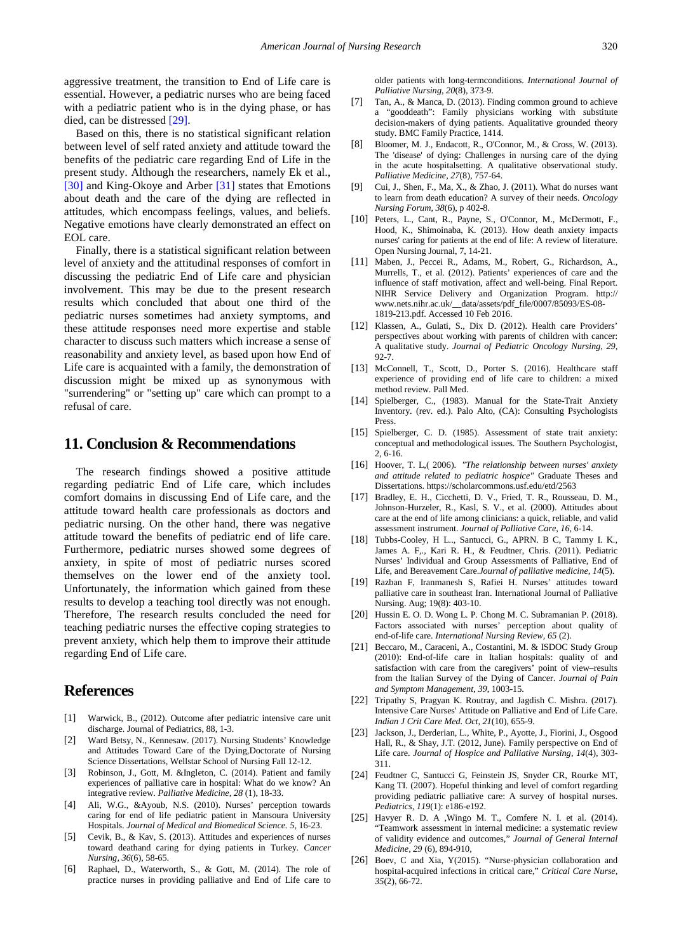aggressive treatment, the transition to End of Life care is essential. However, a pediatric nurses who are being faced with a pediatric patient who is in the dying phase, or has died, can be distressed [\[29\].](#page-5-2)

Based on this, there is no statistical significant relation between level of self rated anxiety and attitude toward the benefits of the pediatric care regarding End of Life in the present study. Although the researchers, namely Ek et al., [\[30\]](#page-5-3) and King-Okoye and Arber [\[31\]](#page-5-4) states that Emotions about death and the care of the dying are reflected in attitudes, which encompass feelings, values, and beliefs. Negative emotions have clearly demonstrated an effect on EOL care.

Finally, there is a statistical significant relation between level of anxiety and the attitudinal responses of comfort in discussing the pediatric End of Life care and physician involvement. This may be due to the present research results which concluded that about one third of the pediatric nurses sometimes had anxiety symptoms, and these attitude responses need more expertise and stable character to discuss such matters which increase a sense of reasonability and anxiety level, as based upon how End of Life care is acquainted with a family, the demonstration of discussion might be mixed up as synonymous with "surrendering" or "setting up" care which can prompt to a refusal of care.

## **11. Conclusion & Recommendations**

The research findings showed a positive attitude regarding pediatric End of Life care, which includes comfort domains in discussing End of Life care, and the attitude toward health care professionals as doctors and pediatric nursing. On the other hand, there was negative attitude toward the benefits of pediatric end of life care. Furthermore, pediatric nurses showed some degrees of anxiety, in spite of most of pediatric nurses scored themselves on the lower end of the anxiety tool. Unfortunately, the information which gained from these results to develop a teaching tool directly was not enough. Therefore, The research results concluded the need for teaching pediatric nurses the effective coping strategies to prevent anxiety, which help them to improve their attitude regarding End of Life care.

## **References**

- <span id="page-4-0"></span>[1] Warwick, B., (2012). Outcome after pediatric intensive care unit discharge. Journal of Pediatrics, 88, 1-3.
- <span id="page-4-1"></span>[2] Ward Betsy, N., Kennesaw. (2017). Nursing Students' Knowledge and Attitudes Toward Care of the Dying,Doctorate of Nursing Science Dissertations, Wellstar School of Nursing Fall 12-12.
- <span id="page-4-2"></span>[3] Robinson, J., Gott, M. &Ingleton, C. (2014). Patient and family experiences of palliative care in hospital: What do we know? An integrative review. *Palliative Medicine, 28* (1), 18-33.
- <span id="page-4-3"></span>[4] Ali, W.G., &Ayoub, N.S. (2010). Nurses' perception towards caring for end of life pediatric patient in Mansoura University Hospitals. *Journal of Medical and Biomedical Science. 5*, 16-23.
- <span id="page-4-4"></span>[5] Cevik, B., & Kav, S. (2013). Attitudes and experiences of nurses toward deathand caring for dying patients in Turkey. *Cancer Nursing, 36*(6), 58-65.
- [6] Raphael, D., Waterworth, S., & Gott, M. (2014). The role of practice nurses in providing palliative and End of Life care to

older patients with long-termconditions. *International Journal of Palliative Nursing, 20*(8), 373-9.

- [7] Tan, A., & Manca, D. (2013). Finding common ground to achieve a "gooddeath": Family physicians working with substitute decision-makers of dying patients. Aqualitative grounded theory study. BMC Family Practice, 1414.
- <span id="page-4-5"></span>[8] Bloomer, M. J., Endacott, R., O'Connor, M., & Cross, W. (2013). The 'disease' of dying: Challenges in nursing care of the dying in the acute hospitalsetting. A qualitative observational study. *Palliative Medicine, 27*(8), 757-64.
- <span id="page-4-6"></span>[9] Cui, J., Shen, F., Ma, X., & Zhao, J. (2011). What do nurses want to learn from death education? A survey of their needs. *Oncology Nursing Forum, 38*(6), p 402-8.
- <span id="page-4-7"></span>[10] Peters, L., Cant, R., Payne, S., O'Connor, M., McDermott, F., Hood, K., Shimoinaba, K. (2013). How death anxiety impacts nurses' caring for patients at the end of life: A review of literature. Open Nursing Journal, 7, 14-21.
- <span id="page-4-8"></span>[11] Maben, J., Peccei R., Adams, M., Robert, G., Richardson, A., Murrells, T., et al. (2012). Patients' experiences of care and the influence of staff motivation, affect and well-being. Final Report. NIHR Service Delivery and Organization Program. http:// www.nets.nihr.ac.uk/\_\_data/assets/pdf\_file/0007/85093/ES-08- 1819-213.pdf. Accessed 10 Feb 2016.
- <span id="page-4-9"></span>[12] Klassen, A., Gulati, S., Dix D. (2012). Health care Providers' perspectives about working with parents of children with cancer: A qualitative study. *Journal of Pediatric Oncology Nursing, 29,* 92-7.
- <span id="page-4-10"></span>[13] McConnell, T., Scott, D., Porter S. (2016). Healthcare staff experience of providing end of life care to children: a mixed method review. Pall Med.
- <span id="page-4-11"></span>[14] Spielberger, C., (1983). Manual for the State-Trait Anxiety Inventory. (rev. ed.). Palo Alto, (CA): Consulting Psychologists Press.
- [15] Spielberger, C. D. (1985). Assessment of state trait anxiety: conceptual and methodological issues. The Southern Psychologist, 2, 6-16.
- <span id="page-4-12"></span>[16] Hoover, T. L,( 2006). *"The relationship between nurses' anxiety and attitude related to pediatric hospice"* Graduate Theses and Dissertations. https://scholarcommons.usf.edu/etd/2563
- <span id="page-4-13"></span>[17] Bradley, E. H., Cicchetti, D. V., Fried, T. R., Rousseau, D. M., Johnson-Hurzeler, R., Kasl, S. V., et al. (2000). Attitudes about care at the end of life among clinicians: a quick, reliable, and valid assessment instrument. *Journal of Palliative Care, 16,* 6-14.
- <span id="page-4-14"></span>[18] Tubbs-Cooley, H L.., Santucci, G., APRN. B C, Tammy I. K., James A. F,., Kari R. H., & Feudtner, Chris. (2011). Pediatric Nurses' Individual and Group Assessments of Palliative, End of Life, and Bereavement Care.*Journal of palliative medicine, 14*(5).
- <span id="page-4-15"></span>[19] Razban F, Iranmanesh S, Rafiei H. Nurses' attitudes toward palliative care in southeast Iran. International Journal of Palliative Nursing. Aug; 19(8): 403-10.
- <span id="page-4-20"></span>[20] Hussin E. O. D. Wong L. P. Chong M. C. Subramanian P. (2018). Factors associated with nurses' perception about quality of end-of-life care. *International Nursing Review, 65* (2).
- <span id="page-4-16"></span>[21] Beccaro, M., Caraceni, A., Costantini, M. & ISDOC Study Group (2010): End-of-life care in Italian hospitals: quality of and satisfaction with care from the caregivers' point of view–results from the Italian Survey of the Dying of Cancer. *Journal of Pain and Symptom Management, 39*, 1003-15.
- <span id="page-4-17"></span>[22] Tripathy S, Pragyan K. Routray, and Jagdish C. Mishra. (2017)*.* Intensive Care Nurses' Attitude on Palliative and End of Life Care. *Indian J Crit Care Med. Oct, 21*(10), 655-9.
- <span id="page-4-18"></span>[23] Jackson, J., Derderian, L., White, P., Ayotte, J., Fiorini, J., Osgood Hall, R., & Shay, J.T. (2012, June). Family perspective on End of Life care. *Journal of Hospice and Palliative Nursing, 14*(4), 303- 311.
- <span id="page-4-19"></span>[24] Feudtner C, Santucci G, Feinstein JS, Snyder CR, Rourke MT, Kang TI. (2007). Hopeful thinking and level of comfort regarding providing pediatric palliative care: A survey of hospital nurses. *Pediatrics, 119*(1): e186-e192.
- <span id="page-4-21"></span>[25] Havyer R. D. A , Wingo M. T., Comfere N. I. et al. (2014). "Teamwork assessment in internal medicine: a systematic review of validity evidence and outcomes," *Journal of General Internal Medicine, 29* (6), 894-910,
- <span id="page-4-22"></span>[26] Boev, C and Xia, Y(2015). "Nurse-physician collaboration and hospital-acquired infections in critical care," *Critical Care Nurse, 35*(2), 66-72.